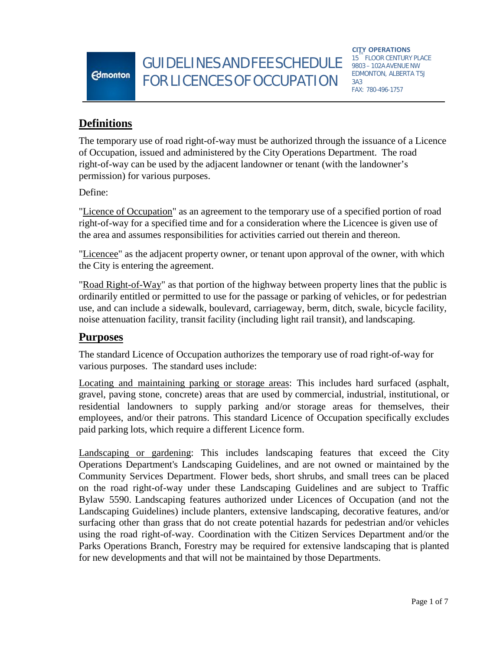GUIDELINES AND FEE SCHEDULE <sup>15</sup> FLOOR CENTURY PL FORLICENCESOF OCCUPATION

**CITY OPERATIONS** 15 FLOOR CENTURY PLACE EDMONTON, ALBERTA T5J 3A3 FAX: 780-496-1757

# **Definitions**

**Edmonton** 

The temporary use of road right-of-way must be authorized through the issuance of a Licence of Occupation, issued and administered by the City Operations Department. The road right-of-way can be used by the adjacent landowner or tenant (with the landowner's permission) for various purposes.

Define:

"Licence of Occupation" as an agreement to the temporary use of a specified portion of road right-of-way for a specified time and for a consideration where the Licencee is given use of the area and assumes responsibilities for activities carried out therein and thereon.

"Licencee" as the adjacent property owner, or tenant upon approval of the owner, with which the City is entering the agreement.

"Road Right-of-Way" as that portion of the highway between property lines that the public is ordinarily entitled or permitted to use for the passage or parking of vehicles, or for pedestrian use, and can include a sidewalk, boulevard, carriageway, berm, ditch, swale, bicycle facility, noise attenuation facility, transit facility (including light rail transit), and landscaping.

## **Purposes**

The standard Licence of Occupation authorizes the temporary use of road right-of-way for various purposes. The standard uses include:

Locating and maintaining parking or storage areas: This includes hard surfaced (asphalt, gravel, paving stone, concrete) areas that are used by commercial, industrial, institutional, or residential landowners to supply parking and/or storage areas for themselves, their employees, and/or their patrons. This standard Licence of Occupation specifically excludes paid parking lots, which require a different Licence form.

Landscaping or gardening: This includes landscaping features that exceed the City Operations Department's Landscaping Guidelines, and are not owned or maintained by the Community Services Department. Flower beds, short shrubs, and small trees can be placed on the road right-of-way under these Landscaping Guidelines and are subject to Traffic Bylaw 5590. Landscaping features authorized under Licences of Occupation (and not the Landscaping Guidelines) include planters, extensive landscaping, decorative features, and/or surfacing other than grass that do not create potential hazards for pedestrian and/or vehicles using the road right-of-way. Coordination with the Citizen Services Department and/or the Parks Operations Branch, Forestry may be required for extensive landscaping that is planted for new developments and that will not be maintained by those Departments.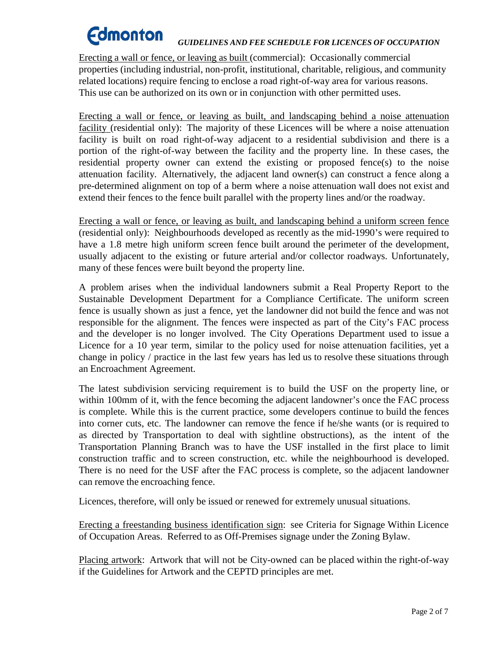# **Edmonton** *GUIDELINES AND FEE SCHEDULE FOR LICENCES OF OCCUPATION*

Erecting a wall or fence, or leaving as built (commercial): Occasionally commercial properties (including industrial, non-profit, institutional, charitable, religious, and community related locations) require fencing to enclose a road right-of-way area for various reasons. This use can be authorized on its own or in conjunction with other permitted uses.

Erecting a wall or fence, or leaving as built, and landscaping behind a noise attenuation facility (residential only): The majority of these Licences will be where a noise attenuation facility is built on road right-of-way adjacent to a residential subdivision and there is a portion of the right-of-way between the facility and the property line. In these cases, the residential property owner can extend the existing or proposed fence(s) to the noise attenuation facility. Alternatively, the adjacent land owner(s) can construct a fence along a pre-determined alignment on top of a berm where a noise attenuation wall does not exist and extend their fences to the fence built parallel with the property lines and/or the roadway.

Erecting a wall or fence, or leaving as built, and landscaping behind a uniform screen fence (residential only): Neighbourhoods developed as recently as the mid-1990's were required to have a 1.8 metre high uniform screen fence built around the perimeter of the development, usually adjacent to the existing or future arterial and/or collector roadways. Unfortunately, many of these fences were built beyond the property line.

A problem arises when the individual landowners submit a Real Property Report to the Sustainable Development Department for a Compliance Certificate. The uniform screen fence is usually shown as just a fence, yet the landowner did not build the fence and was not responsible for the alignment. The fences were inspected as part of the City's FAC process and the developer is no longer involved. The City Operations Department used to issue a Licence for a 10 year term, similar to the policy used for noise attenuation facilities, yet a change in policy / practice in the last few years has led us to resolve these situations through an Encroachment Agreement.

The latest subdivision servicing requirement is to build the USF on the property line, or within 100mm of it, with the fence becoming the adjacent landowner's once the FAC process is complete. While this is the current practice, some developers continue to build the fences into corner cuts, etc. The landowner can remove the fence if he/she wants (or is required to as directed by Transportation to deal with sightline obstructions), as the intent of the Transportation Planning Branch was to have the USF installed in the first place to limit construction traffic and to screen construction, etc. while the neighbourhood is developed. There is no need for the USF after the FAC process is complete, so the adjacent landowner can remove the encroaching fence.

Licences, therefore, will only be issued or renewed for extremely unusual situations.

Erecting a freestanding business identification sign: see Criteria for Signage Within Licence of Occupation Areas. Referred to as Off-Premises signage under the Zoning Bylaw.

Placing artwork: Artwork that will not be City-owned can be placed within the right-of-way if the Guidelines for Artwork and the CEPTD principles are met.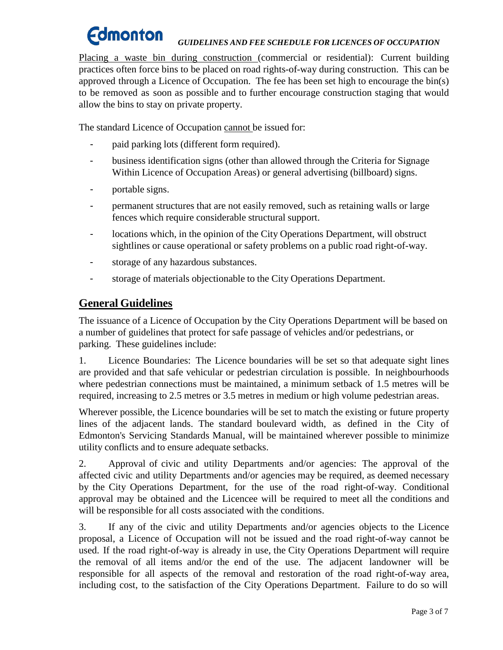## *GUIDELINES AND FEE SCHEDULE FOR LICENCES OF OCCUPATION*

Placing a waste bin during construction (commercial or residential): Current building practices often force bins to be placed on road rights-of-way during construction. This can be approved through a Licence of Occupation. The fee has been set high to encourage the bin(s) to be removed as soon as possible and to further encourage construction staging that would allow the bins to stay on private property.

The standard Licence of Occupation cannot be issued for:

- paid parking lots (different form required).
- business identification signs (other than allowed through the Criteria for Signage Within Licence of Occupation Areas) or general advertising (billboard) signs.
- portable signs.
- permanent structures that are not easily removed, such as retaining walls or large fences which require considerable structural support.
- locations which, in the opinion of the City Operations Department, will obstruct sightlines or cause operational or safety problems on a public road right-of-way.
- storage of any hazardous substances.
- storage of materials objectionable to the City Operations Department.

# **General Guidelines**

The issuance of a Licence of Occupation by the City Operations Department will be based on a number of guidelines that protect for safe passage of vehicles and/or pedestrians, or parking. These guidelines include:

1. Licence Boundaries: The Licence boundaries will be set so that adequate sight lines are provided and that safe vehicular or pedestrian circulation is possible. In neighbourhoods where pedestrian connections must be maintained, a minimum setback of 1.5 metres will be required, increasing to 2.5 metres or 3.5 metres in medium or high volume pedestrian areas.

Wherever possible, the Licence boundaries will be set to match the existing or future property lines of the adjacent lands. The standard boulevard width, as defined in the City of Edmonton's Servicing Standards Manual, will be maintained wherever possible to minimize utility conflicts and to ensure adequate setbacks.

2. Approval of civic and utility Departments and/or agencies: The approval of the affected civic and utility Departments and/or agencies may be required, as deemed necessary by the City Operations Department, for the use of the road right-of-way. Conditional approval may be obtained and the Licencee will be required to meet all the conditions and will be responsible for all costs associated with the conditions.

3. If any of the civic and utility Departments and/or agencies objects to the Licence proposal, a Licence of Occupation will not be issued and the road right-of-way cannot be used. If the road right-of-way is already in use, the City Operations Department will require the removal of all items and/or the end of the use. The adjacent landowner will be responsible for all aspects of the removal and restoration of the road right-of-way area, including cost, to the satisfaction of the City Operations Department. Failure to do so will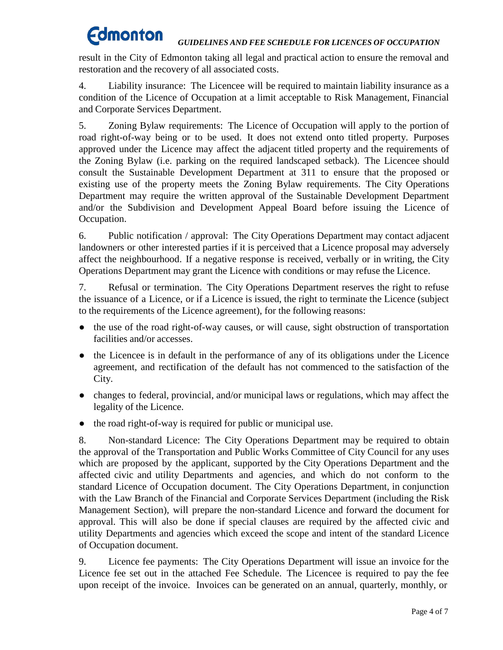## *GUIDELINES AND FEE SCHEDULE FOR LICENCES OF OCCUPATION*

result in the City of Edmonton taking all legal and practical action to ensure the removal and restoration and the recovery of all associated costs.

4. Liability insurance: The Licencee will be required to maintain liability insurance as a condition of the Licence of Occupation at a limit acceptable to Risk Management, Financial and Corporate Services Department.

5. Zoning Bylaw requirements: The Licence of Occupation will apply to the portion of road right-of-way being or to be used. It does not extend onto titled property. Purposes approved under the Licence may affect the adjacent titled property and the requirements of the Zoning Bylaw (i.e. parking on the required landscaped setback). The Licencee should consult the Sustainable Development Department at 311 to ensure that the proposed or existing use of the property meets the Zoning Bylaw requirements. The City Operations Department may require the written approval of the Sustainable Development Department and/or the Subdivision and Development Appeal Board before issuing the Licence of Occupation.

6. Public notification / approval: The City Operations Department may contact adjacent landowners or other interested parties if it is perceived that a Licence proposal may adversely affect the neighbourhood. If a negative response is received, verbally or in writing, the City Operations Department may grant the Licence with conditions or may refuse the Licence.

7. Refusal or termination. The City Operations Department reserves the right to refuse the issuance of a Licence, or if a Licence is issued, the right to terminate the Licence (subject to the requirements of the Licence agreement), for the following reasons:

- the use of the road right-of-way causes, or will cause, sight obstruction of transportation facilities and/or accesses.
- the Licencee is in default in the performance of any of its obligations under the Licence agreement, and rectification of the default has not commenced to the satisfaction of the City.
- changes to federal, provincial, and/or municipal laws or regulations, which may affect the legality of the Licence.
- the road right-of-way is required for public or municipal use.

8. Non-standard Licence: The City Operations Department may be required to obtain the approval of the Transportation and Public Works Committee of City Council for any uses which are proposed by the applicant, supported by the City Operations Department and the affected civic and utility Departments and agencies, and which do not conform to the standard Licence of Occupation document. The City Operations Department, in conjunction with the Law Branch of the Financial and Corporate Services Department (including the Risk Management Section), will prepare the non-standard Licence and forward the document for approval. This will also be done if special clauses are required by the affected civic and utility Departments and agencies which exceed the scope and intent of the standard Licence of Occupation document.

9. Licence fee payments: The City Operations Department will issue an invoice for the Licence fee set out in the attached Fee Schedule. The Licencee is required to pay the fee upon receipt of the invoice. Invoices can be generated on an annual, quarterly, monthly, or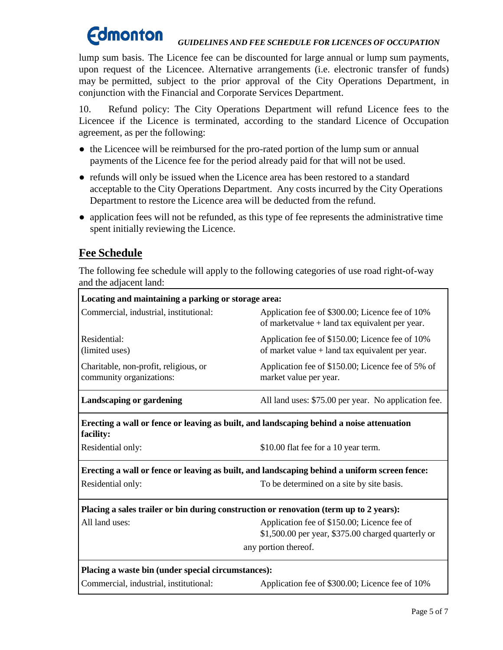## *GUIDELINES AND FEE SCHEDULE FOR LICENCES OF OCCUPATION*

lump sum basis. The Licence fee can be discounted for large annual or lump sum payments, upon request of the Licencee. Alternative arrangements (i.e. electronic transfer of funds) may be permitted, subject to the prior approval of the City Operations Department, in conjunction with the Financial and Corporate Services Department.

10. Refund policy: The City Operations Department will refund Licence fees to the Licencee if the Licence is terminated, according to the standard Licence of Occupation agreement, as per the following:

- the Licencee will be reimbursed for the pro-rated portion of the lump sum or annual payments of the Licence fee for the period already paid for that will not be used.
- refunds will only be issued when the Licence area has been restored to a standard acceptable to the City Operations Department. Any costs incurred by the City Operations Department to restore the Licence area will be deducted from the refund.
- application fees will not be refunded, as this type of fee represents the administrative time spent initially reviewing the Licence.

# **Fee Schedule**

The following fee schedule will apply to the following categories of use road right-of-way and the adjacent land:

| Locating and maintaining a parking or storage area:                                                   |                                                                                                      |  |
|-------------------------------------------------------------------------------------------------------|------------------------------------------------------------------------------------------------------|--|
| Commercial, industrial, institutional:                                                                | Application fee of \$300.00; Licence fee of 10%<br>of marketvalue $+$ land tax equivalent per year.  |  |
| Residential:<br>(limited uses)                                                                        | Application fee of \$150.00; Licence fee of 10%<br>of market value $+$ land tax equivalent per year. |  |
| Charitable, non-profit, religious, or<br>community organizations:                                     | Application fee of \$150.00; Licence fee of 5% of<br>market value per year.                          |  |
| Landscaping or gardening                                                                              | All land uses: \$75.00 per year. No application fee.                                                 |  |
| Erecting a wall or fence or leaving as built, and landscaping behind a noise attenuation<br>facility: |                                                                                                      |  |
| Residential only:                                                                                     | \$10.00 flat fee for a 10 year term.                                                                 |  |
| Erecting a wall or fence or leaving as built, and landscaping behind a uniform screen fence:          |                                                                                                      |  |
| Residential only:                                                                                     | To be determined on a site by site basis.                                                            |  |
| Placing a sales trailer or bin during construction or renovation (term up to 2 years):                |                                                                                                      |  |
| All land uses:                                                                                        | Application fee of \$150.00; Licence fee of<br>$$1,500.00$ per year, $$375.00$ charged quarterly or  |  |
| any portion thereof.                                                                                  |                                                                                                      |  |
| Placing a waste bin (under special circumstances):                                                    |                                                                                                      |  |
| Commercial, industrial, institutional:                                                                | Application fee of \$300.00; Licence fee of 10%                                                      |  |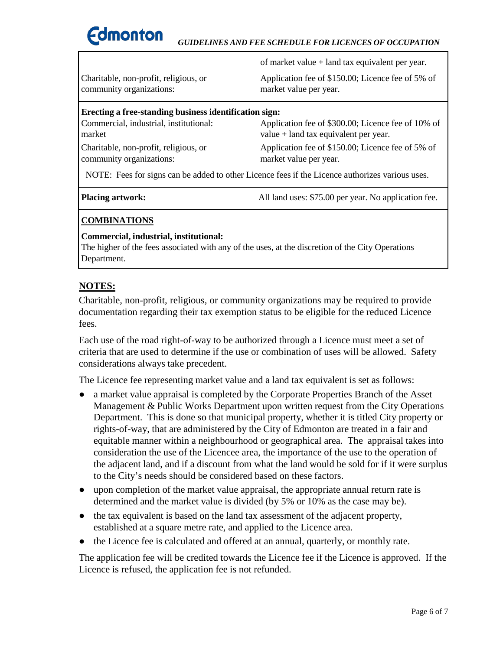

#### *GUIDELINES AND FEE SCHEDULE FOR LICENCES OF OCCUPATION*

community organizations: market value per year.

of market value + land tax equivalent per year.

Charitable, non-profit, religious, or Application fee of \$150.00; Licence fee of 5% of

## **Erecting a free-standing business identification sign:** Commercial, industrial, institutional: Application fee of \$300.00; Licence fee of 10% of market value + land tax equivalent per year.

community organizations: market value per year.

Charitable, non-profit, religious, or Application fee of \$150.00; Licence fee of 5% of

NOTE: Fees for signs can be added to other Licence fees if the Licence authorizes various uses.

**Placing artwork:** All land uses: \$75.00 per year. No application fee.

#### **COMBINATIONS**

#### **Commercial, industrial, institutional:**

The higher of the fees associated with any of the uses, at the discretion of the City Operations Department.

## **NOTES:**

Charitable, non-profit, religious, or community organizations may be required to provide documentation regarding their tax exemption status to be eligible for the reduced Licence fees.

Each use of the road right-of-way to be authorized through a Licence must meet a set of criteria that are used to determine if the use or combination of uses will be allowed. Safety considerations always take precedent.

The Licence fee representing market value and a land tax equivalent is set as follows:

- a market value appraisal is completed by the Corporate Properties Branch of the Asset Management & Public Works Department upon written request from the City Operations Department. This is done so that municipal property, whether it is titled City property or rights-of-way, that are administered by the City of Edmonton are treated in a fair and equitable manner within a neighbourhood or geographical area. The appraisal takes into consideration the use of the Licencee area, the importance of the use to the operation of the adjacent land, and if a discount from what the land would be sold for if it were surplus to the City's needs should be considered based on these factors.
- upon completion of the market value appraisal, the appropriate annual return rate is determined and the market value is divided (by 5% or 10% as the case may be).
- the tax equivalent is based on the land tax assessment of the adjacent property, established at a square metre rate, and applied to the Licence area.
- the Licence fee is calculated and offered at an annual, quarterly, or monthly rate.

The application fee will be credited towards the Licence fee if the Licence is approved. If the Licence is refused, the application fee is not refunded.